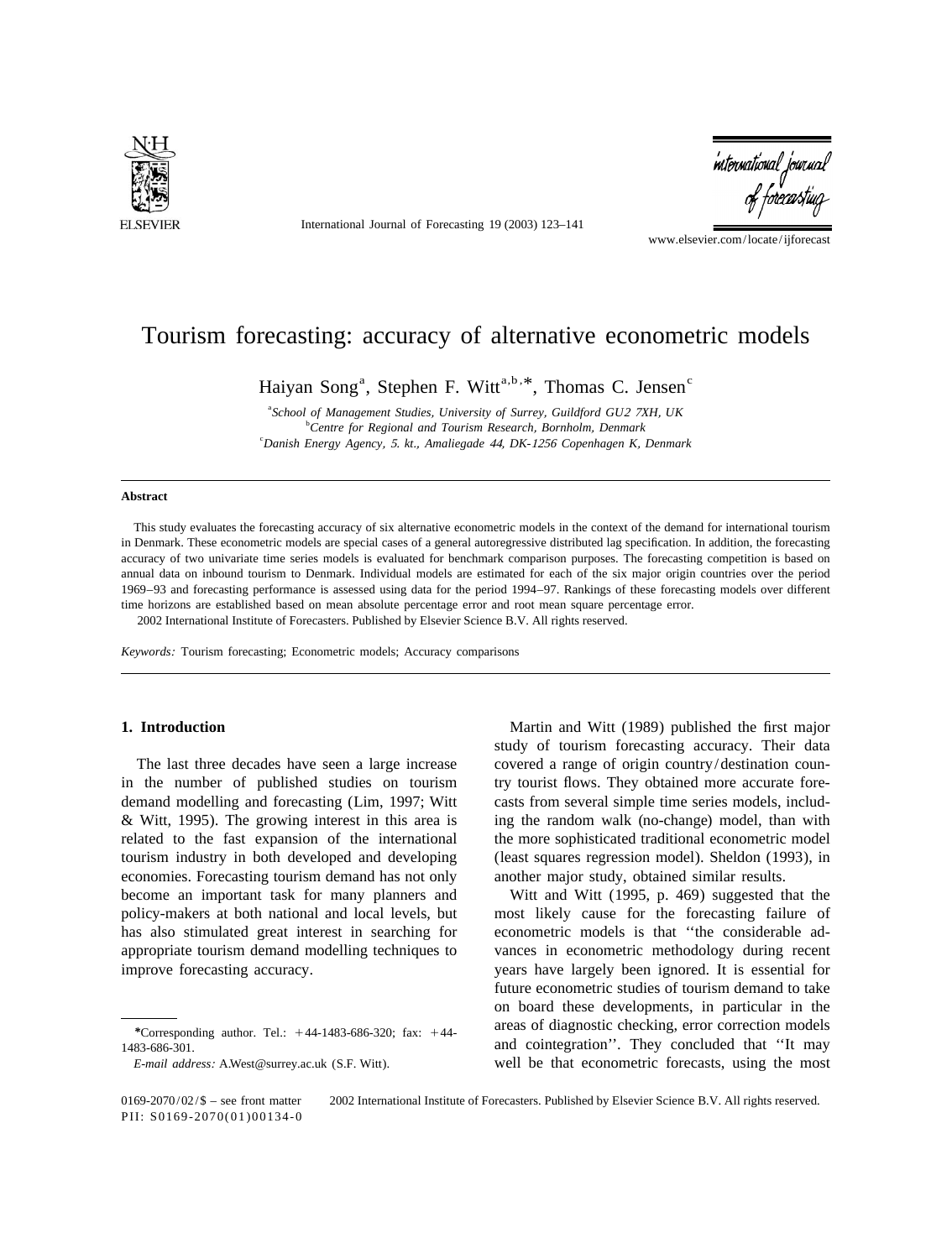

International Journal of Forecasting 19 (2003) 123–141

'nternational jourual'<br>of forcarstiug

www.elsevier.com/locate/ijforecast

## Tourism forecasting: accuracy of alternative econometric models

Haiyan Song<sup>a</sup>, Stephen F. Witt<sup>a,b,\*</sup>, Thomas C. Jensen<sup>c</sup>

a *School of Management Studies*, *University of Surrey*, *Guildford GU*<sup>2</sup> <sup>7</sup>*XH*, *UK* b *Centre for Regional and Tourism Research*, *Bornholm*, *Denmark* c *Danish Energy Agency*, 5. *kt*., *Amaliegade* 44, *DK*-<sup>1256</sup> *Copenhagen K*, *Denmark*

## **Abstract**

This study evaluates the forecasting accuracy of six alternative econometric models in the context of the demand for international tourism in Denmark. These econometric models are special cases of a general autoregressive distributed lag specification. In addition, the forecasting accuracy of two univariate time series models is evaluated for benchmark comparison purposes. The forecasting competition is based on annual data on inbound tourism to Denmark. Individual models are estimated for each of the six major origin countries over the period 1969–93 and forecasting performance is assessed using data for the period 1994–97. Rankings of these forecasting models over different time horizons are established based on mean absolute percentage error and root mean square percentage error. 2002 International Institute of Forecasters. Published by Elsevier Science B.V. All rights reserved.

*Keywords*: Tourism forecasting; Econometric models; Accuracy comparisons

in the number of published studies on tourism try tourist flows. They obtained more accurate foredemand modelling and forecasting (Lim, 1997; Witt casts from several simple time series models, includ-& Witt, 1995). The growing interest in this area is ing the random walk (no-change) model, than with related to the fast expansion of the international the more sophisticated traditional econometric model tourism industry in both developed and developing (least squares regression model). Sheldon (1993), in economies. Forecasting tourism demand has not only another major study, obtained similar results. become an important task for many planners and Witt and Witt (1995, p. 469) suggested that the policy-makers at both national and local levels, but most likely cause for the forecasting failure of has also stimulated great interest in searching for econometric models is that "the considerable adappropriate tourism demand modelling techniques to vances in econometric methodology during recent improve forecasting accuracy. years have largely been ignored. It is essential for

**1. Introduction** Martin and Witt (1989) published the first major study of tourism forecasting accuracy. Their data The last three decades have seen a large increase covered a range of origin country/destination coun-

future econometric studies of tourism demand to take on board these developments, in particular in the areas of diagnostic checking, error correction models *\**Corresponding author. Tel.: <sup>1</sup>44-1483-686-320; fax: <sup>1</sup>44- 1483-686-301. **and cointegration''**. They concluded that "It may *E*-*mail address*: A.West@surrey.ac.uk (S.F. Witt). well be that econometric forecasts, using the most

<sup>0169-2070/02/\$ –</sup> see front matter © 2002 International Institute of Forecasters. Published by Elsevier Science B.V. All rights reserved. PII: S0169-2070(01)00134-0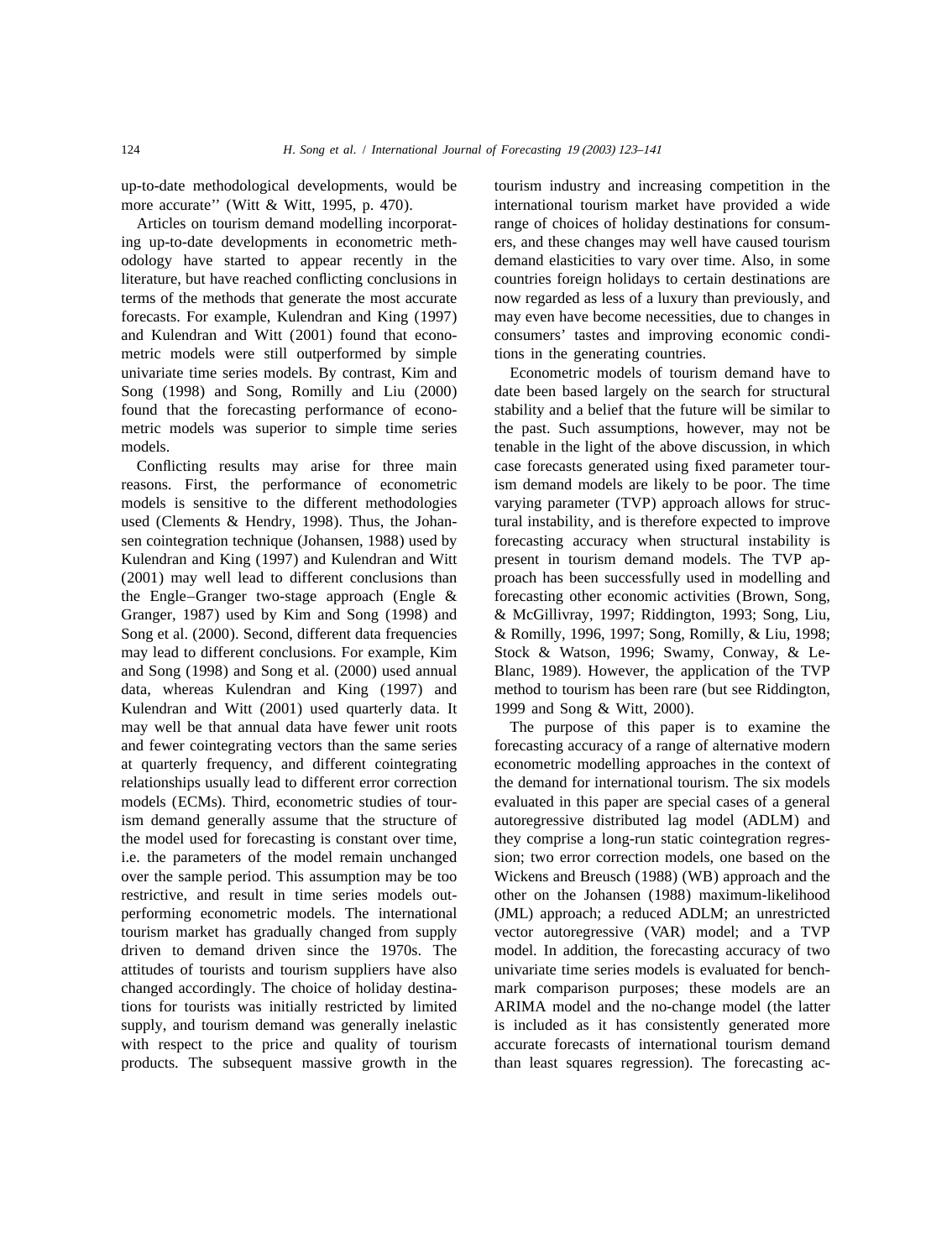up-to-date methodological developments, would be tourism industry and increasing competition in the

ing up-to-date developments in econometric meth- ers, and these changes may well have caused tourism odology have started to appear recently in the demand elasticities to vary over time. Also, in some literature, but have reached conflicting conclusions in countries foreign holidays to certain destinations are terms of the methods that generate the most accurate now regarded as less of a luxury than previously, and forecasts. For example, Kulendran and King (1997) may even have become necessities, due to changes in and Kulendran and Witt (2001) found that econo- consumers' tastes and improving economic condimetric models were still outperformed by simple tions in the generating countries. univariate time series models. By contrast, Kim and Econometric models of tourism demand have to Song (1998) and Song, Romilly and Liu (2000) date been based largely on the search for structural found that the forecasting performance of econo- stability and a belief that the future will be similar to metric models was superior to simple time series the past. Such assumptions, however, may not be models. tenable in the light of the above discussion, in which

reasons. First, the performance of econometric ism demand models are likely to be poor. The time models is sensitive to the different methodologies varying parameter (TVP) approach allows for strucused (Clements & Hendry, 1998). Thus, the Johan- tural instability, and is therefore expected to improve sen cointegration technique (Johansen, 1988) used by forecasting accuracy when structural instability is Kulendran and King (1997) and Kulendran and Witt present in tourism demand models. The TVP ap- (2001) may well lead to different conclusions than proach has been successfully used in modelling and the Engle–Granger two-stage approach (Engle & forecasting other economic activities (Brown, Song, Granger, 1987) used by Kim and Song (1998) and & McGillivray, 1997; Riddington, 1993; Song, Liu, Song et al. (2000). Second, different data frequencies & Romilly, 1996, 1997; Song, Romilly, & Liu, 1998; may lead to different conclusions. For example, Kim Stock & Watson, 1996; Swamy, Conway, & Leand Song (1998) and Song et al. (2000) used annual Blanc, 1989). However, the application of the TVP data, whereas Kulendran and King (1997) and method to tourism has been rare (but see Riddington, Kulendran and Witt (2001) used quarterly data. It 1999 and Song & Witt, 2000). may well be that annual data have fewer unit roots The purpose of this paper is to examine the and fewer cointegrating vectors than the same series forecasting accuracy of a range of alternative modern at quarterly frequency, and different cointegrating econometric modelling approaches in the context of relationships usually lead to different error correction the demand for international tourism. The six models models (ECMs). Third, econometric studies of tour- evaluated in this paper are special cases of a general ism demand generally assume that the structure of autoregressive distributed lag model (ADLM) and the model used for forecasting is constant over time, they comprise a long-run static cointegration regresi.e. the parameters of the model remain unchanged sion; two error correction models, one based on the over the sample period. This assumption may be too Wickens and Breusch (1988) (WB) approach and the restrictive, and result in time series models out- other on the Johansen (1988) maximum-likelihood performing econometric models. The international (JML) approach; a reduced ADLM; an unrestricted tourism market has gradually changed from supply vector autoregressive (VAR) model; and a TVP driven to demand driven since the 1970s. The model. In addition, the forecasting accuracy of two attitudes of tourists and tourism suppliers have also univariate time series models is evaluated for benchchanged accordingly. The choice of holiday destina- mark comparison purposes; these models are an tions for tourists was initially restricted by limited ARIMA model and the no-change model (the latter supply, and tourism demand was generally inelastic is included as it has consistently generated more with respect to the price and quality of tourism accurate forecasts of international tourism demand products. The subsequent massive growth in the than least squares regression). The forecasting ac-

more accurate'' (Witt & Witt, 1995, p. 470). international tourism market have provided a wide Articles on tourism demand modelling incorporat- range of choices of holiday destinations for consum-

Conflicting results may arise for three main case forecasts generated using fixed parameter tour-